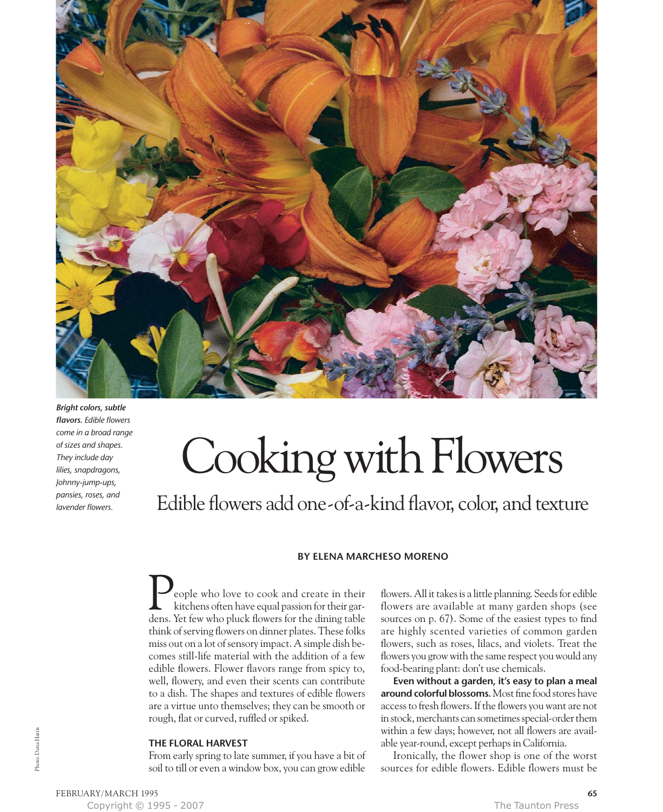

*Bright colors, subtle flavors. Edible flowers come in a broad range of sizes and shapes. They include day lilies, snapdragons, Johnny-jump-ups, pansies, roses, and lavender flowers.*

# Cooking with Flowers

Edible flowers add one-of-a-kind flavor, color, and texture

# **BY ELENA MARCHESO MORENO**

eople who love to cook and create in their kitchens often have equal passion for their gareople who love to cook and create in their<br>kitchens often have equal passion for their gar-<br>dens. Yet few who pluck flowers for the dining table think of serving flowers on dinner plates. These folks miss out on a lot of sensory impact. A simple dish becomes still-life material with the addition of a few edible flowers. Flower flavors range from spicy to, well, flowery, and even their scents can contribute to a dish. The shapes and textures of edible flowers are a virtue unto themselves; they can be smooth or rough, flat or curved, ruffled or spiked.

## **THE FLORAL HARVEST**

From early spring to late summer, if you have a bit of soil to till or even a window box, you can grow edible

flowers. All it takes is a little planning. Seeds for edible flowers are available at many garden shops (see sources on p. 67). Some of the easiest types to find are highly scented varieties of common garden flowers, such as roses, lilacs, and violets. Treat the flowers you grow with the same respect you would any food-bearing plant: don't use chemicals.

**Even without a garden, it's easy to plan a meal around colorful blossoms.** Most fine food stores have access to fresh flowers. If the flowers you want are not in stock, merchants can sometimes special-order them within a few days; however, not all flowers are available year-round, except perhaps in California.

Ironically, the flower shop is one of the worst sources for edible flowers. Edible flowers must be

FEBRUARY/ MARCH 1995 **65** Copyright © 1995 - 2007 The Taunton Press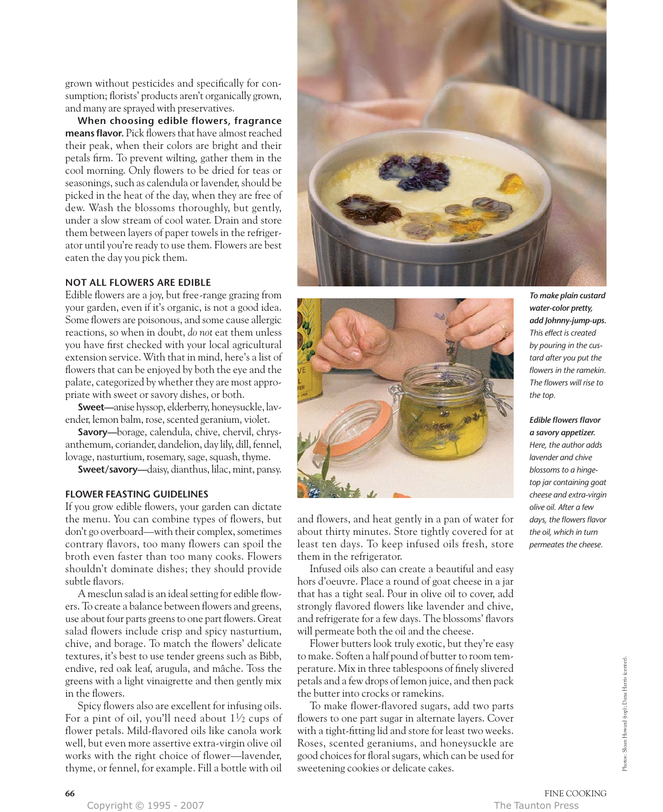grown without pesticides and specifically for consumption; florists' products aren't organically grown, and many are sprayed with preservatives.

**When choosing edible flowers, fragrance means flavor.** Pick flowers that have almost reached their peak, when their colors are bright and their petals firm. To prevent wilting, gather them in the cool morning. Only flowers to be dried for teas or seasonings, such as calendula or lavender, should be picked in the heat of the day, when they are free of dew. Wash the blossoms thoroughly, but gently, under a slow stream of cool water. Drain and store them between layers of paper towels in the refrigerator until you're ready to use them. Flowers are best eaten the day you pick them.

## **NOT ALL FLOWERS ARE EDIBLE**

Edible flowers are a joy, but free-range grazing from your garden, even if it's organic, is not a good idea. Some flowers are poisonous, and some cause allergic reactions, so when in doubt, *do not* eat them unless you have first checked with your local agricultural extension service. With that in mind, here's a list of flowers that can be enjoyed by both the eye and the palate, categorized by whether they are most appropriate with sweet or savory dishes, or both.

**Sweet—**anise hyssop, elderberry, honeysuckle, lavender, lemon balm, rose, scented geranium, violet.

**Savory—**borage, calendula, chive, chervil, chrysanthemum, coriander, dandelion, day lily, dill, fennel, lovage, nasturtium, rosemary, sage, squash, thyme.

**Sweet/savory—**daisy, dianthus, lilac, mint, pansy.

# **FLOWER FEASTING GUIDELINES**

If you grow edible flowers, your garden can dictate the menu. You can combine types of flowers, but don't go overboard—with their complex, sometimes contrary flavors, too many flowers can spoil the broth even faster than too many cooks. Flowers shouldn't dominate dishes; they should provide subtle flavors.

A mesclun salad is an ideal setting for edible flowers. To create a balance between flowers and greens, use about four parts greens to one part flowers. Great salad flowers include crisp and spicy nasturtium, chive, and borage. To match the flowers' delicate textures, it's best to use tender greens such as Bibb, endive, red oak leaf, arugula, and mâche. Toss the greens with a light vinaigrette and then gently mix in the flowers.

Spicy flowers also are excellent for infusing oils. For a pint of oil, you'll need about  $1\frac{1}{2}$  cups of flower petals. Mild-flavored oils like canola work well, but even more assertive extra-virgin olive oil works with the right choice of flower—lavender, thyme, or fennel, for example. Fill a bottle with oil





and flowers, and heat gently in a pan of water for about thirty minutes. Store tightly covered for at least ten days. To keep infused oils fresh, store them in the refrigerator.

Infused oils also can create a beautiful and easy hors d'oeuvre. Place a round of goat cheese in a jar that has a tight seal. Pour in olive oil to cover, add strongly flavored flowers like lavender and chive, and refrigerate for a few days. The blossoms' flavors will permeate both the oil and the cheese.

Flower butters look truly exotic, but they're easy to make. Soften a half pound of butter to room temperature. Mix in three tablespoons of finely slivered petals and a few drops of lemon juice, and then pack the butter into crocks or ramekins.

To make flower-flavored sugars, add two parts flowers to one part sugar in alternate layers. Cover with a tight-fitting lid and store for least two weeks. Roses, scented geraniums, and honeysuckle are good choices for floral sugars, which can be used for sweetening cookies or delicate cakes.

*To make plain custard water-color pretty, add Johnny-jump-ups. This effect is created by pouring in the custard after you put the flowers in the ramekin. The flowers will rise to the top.*

*Edible flowers flavor a savory appetizer. Here, the author adds lavender and chive blossoms to a hingetop jar containing goat cheese and extra-virgin olive oil. After a few*

*days, the flowers flavor the oil, which in turn permeates the cheese.* 

Copyright © 1995 - 2007 The Taunton Press